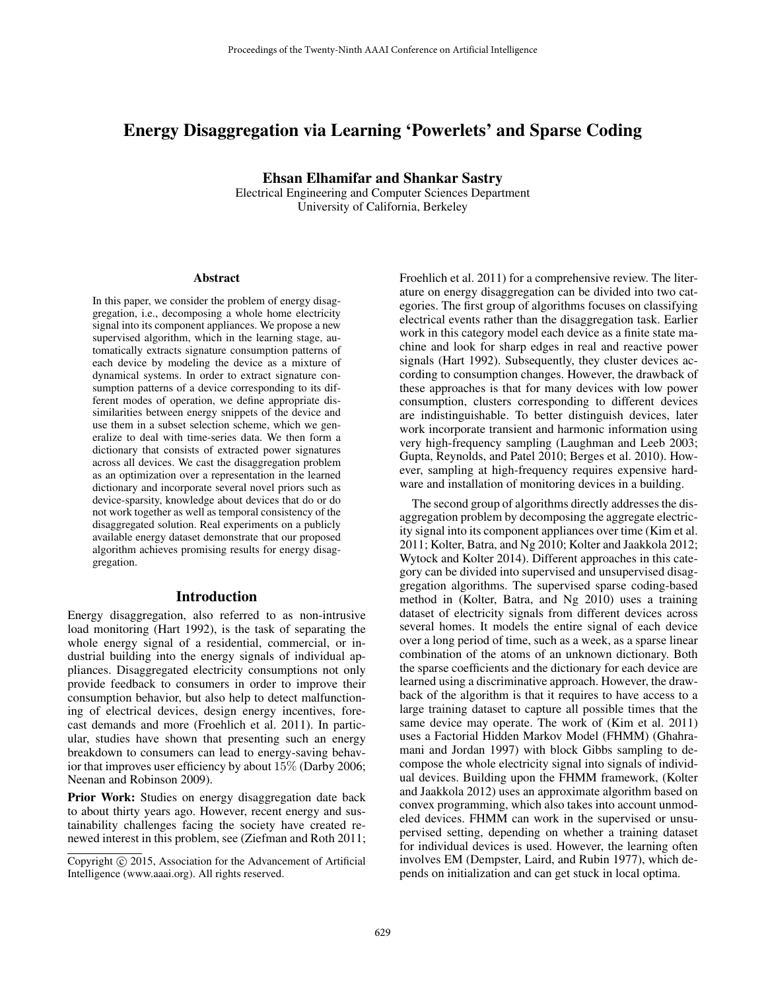# Energy Disaggregation via Learning 'Powerlets' and Sparse Coding

Ehsan Elhamifar and Shankar Sastry

Electrical Engineering and Computer Sciences Department University of California, Berkeley

#### Abstract

In this paper, we consider the problem of energy disaggregation, i.e., decomposing a whole home electricity signal into its component appliances. We propose a new supervised algorithm, which in the learning stage, automatically extracts signature consumption patterns of each device by modeling the device as a mixture of dynamical systems. In order to extract signature consumption patterns of a device corresponding to its different modes of operation, we define appropriate dissimilarities between energy snippets of the device and use them in a subset selection scheme, which we generalize to deal with time-series data. We then form a dictionary that consists of extracted power signatures across all devices. We cast the disaggregation problem as an optimization over a representation in the learned dictionary and incorporate several novel priors such as device-sparsity, knowledge about devices that do or do not work together as well as temporal consistency of the disaggregated solution. Real experiments on a publicly available energy dataset demonstrate that our proposed algorithm achieves promising results for energy disaggregation.

#### Introduction

Energy disaggregation, also referred to as non-intrusive load monitoring (Hart 1992), is the task of separating the whole energy signal of a residential, commercial, or industrial building into the energy signals of individual appliances. Disaggregated electricity consumptions not only provide feedback to consumers in order to improve their consumption behavior, but also help to detect malfunctioning of electrical devices, design energy incentives, forecast demands and more (Froehlich et al. 2011). In particular, studies have shown that presenting such an energy breakdown to consumers can lead to energy-saving behavior that improves user efficiency by about 15% (Darby 2006; Neenan and Robinson 2009).

Prior Work: Studies on energy disaggregation date back to about thirty years ago. However, recent energy and sustainability challenges facing the society have created renewed interest in this problem, see (Ziefman and Roth 2011; Froehlich et al. 2011) for a comprehensive review. The literature on energy disaggregation can be divided into two categories. The first group of algorithms focuses on classifying electrical events rather than the disaggregation task. Earlier work in this category model each device as a finite state machine and look for sharp edges in real and reactive power signals (Hart 1992). Subsequently, they cluster devices according to consumption changes. However, the drawback of these approaches is that for many devices with low power consumption, clusters corresponding to different devices are indistinguishable. To better distinguish devices, later work incorporate transient and harmonic information using very high-frequency sampling (Laughman and Leeb 2003; Gupta, Reynolds, and Patel 2010; Berges et al. 2010). However, sampling at high-frequency requires expensive hardware and installation of monitoring devices in a building.

The second group of algorithms directly addresses the disaggregation problem by decomposing the aggregate electricity signal into its component appliances over time (Kim et al. 2011; Kolter, Batra, and Ng 2010; Kolter and Jaakkola 2012; Wytock and Kolter 2014). Different approaches in this category can be divided into supervised and unsupervised disaggregation algorithms. The supervised sparse coding-based method in (Kolter, Batra, and Ng 2010) uses a training dataset of electricity signals from different devices across several homes. It models the entire signal of each device over a long period of time, such as a week, as a sparse linear combination of the atoms of an unknown dictionary. Both the sparse coefficients and the dictionary for each device are learned using a discriminative approach. However, the drawback of the algorithm is that it requires to have access to a large training dataset to capture all possible times that the same device may operate. The work of (Kim et al. 2011) uses a Factorial Hidden Markov Model (FHMM) (Ghahramani and Jordan 1997) with block Gibbs sampling to decompose the whole electricity signal into signals of individual devices. Building upon the FHMM framework, (Kolter and Jaakkola 2012) uses an approximate algorithm based on convex programming, which also takes into account unmodeled devices. FHMM can work in the supervised or unsupervised setting, depending on whether a training dataset for individual devices is used. However, the learning often involves EM (Dempster, Laird, and Rubin 1977), which depends on initialization and can get stuck in local optima.

Copyright © 2015, Association for the Advancement of Artificial Intelligence (www.aaai.org). All rights reserved.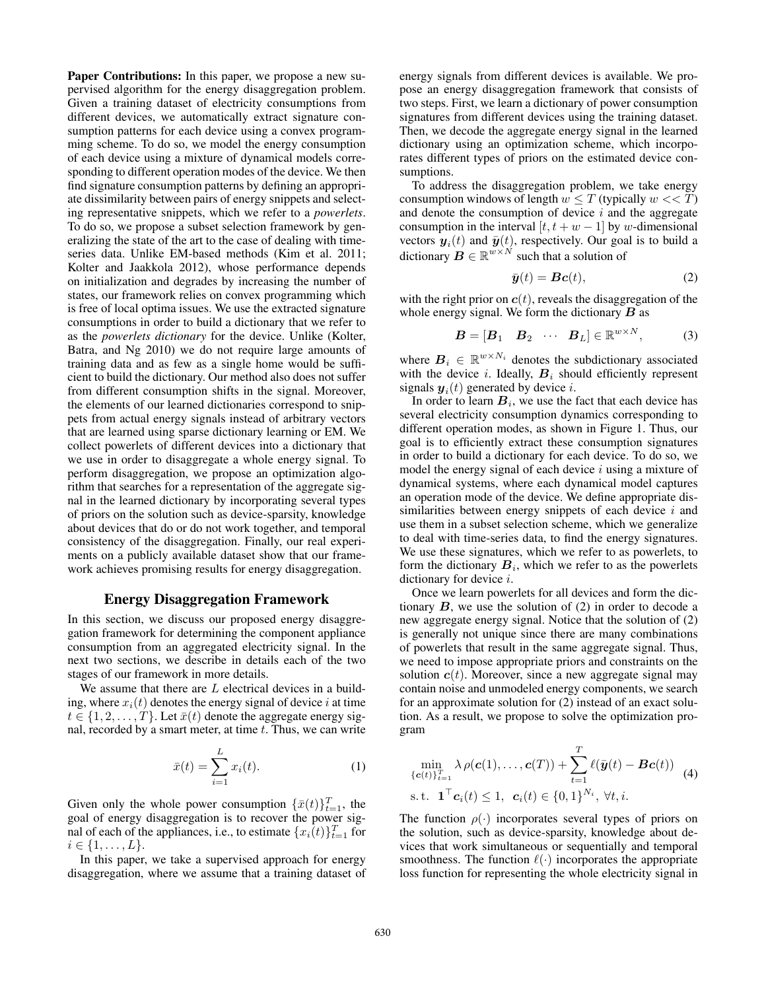Paper Contributions: In this paper, we propose a new supervised algorithm for the energy disaggregation problem. Given a training dataset of electricity consumptions from different devices, we automatically extract signature consumption patterns for each device using a convex programming scheme. To do so, we model the energy consumption of each device using a mixture of dynamical models corresponding to different operation modes of the device. We then find signature consumption patterns by defining an appropriate dissimilarity between pairs of energy snippets and selecting representative snippets, which we refer to a *powerlets*. To do so, we propose a subset selection framework by generalizing the state of the art to the case of dealing with timeseries data. Unlike EM-based methods (Kim et al. 2011; Kolter and Jaakkola 2012), whose performance depends on initialization and degrades by increasing the number of states, our framework relies on convex programming which is free of local optima issues. We use the extracted signature consumptions in order to build a dictionary that we refer to as the *powerlets dictionary* for the device. Unlike (Kolter, Batra, and Ng 2010) we do not require large amounts of training data and as few as a single home would be sufficient to build the dictionary. Our method also does not suffer from different consumption shifts in the signal. Moreover, the elements of our learned dictionaries correspond to snippets from actual energy signals instead of arbitrary vectors that are learned using sparse dictionary learning or EM. We collect powerlets of different devices into a dictionary that we use in order to disaggregate a whole energy signal. To perform disaggregation, we propose an optimization algorithm that searches for a representation of the aggregate signal in the learned dictionary by incorporating several types of priors on the solution such as device-sparsity, knowledge about devices that do or do not work together, and temporal consistency of the disaggregation. Finally, our real experiments on a publicly available dataset show that our framework achieves promising results for energy disaggregation.

### Energy Disaggregation Framework

In this section, we discuss our proposed energy disaggregation framework for determining the component appliance consumption from an aggregated electricity signal. In the next two sections, we describe in details each of the two stages of our framework in more details.

We assume that there are  $L$  electrical devices in a building, where  $x_i(t)$  denotes the energy signal of device i at time  $t \in \{1, 2, \ldots, T\}$ . Let  $\bar{x}(t)$  denote the aggregate energy signal, recorded by a smart meter, at time  $t$ . Thus, we can write

$$
\bar{x}(t) = \sum_{i=1}^{L} x_i(t). \tag{1}
$$

Given only the whole power consumption  $\{\bar{x}(t)\}_{t=1}^T$ , the goal of energy disaggregation is to recover the power signal of each of the appliances, i.e., to estimate  $\{x_i(t)\}_{t=1}^T$  for  $i \in \{1, \ldots, L\}.$ 

In this paper, we take a supervised approach for energy disaggregation, where we assume that a training dataset of energy signals from different devices is available. We propose an energy disaggregation framework that consists of two steps. First, we learn a dictionary of power consumption signatures from different devices using the training dataset. Then, we decode the aggregate energy signal in the learned dictionary using an optimization scheme, which incorporates different types of priors on the estimated device consumptions.

To address the disaggregation problem, we take energy consumption windows of length  $w \leq T$  (typically  $w \lt T$ ) and denote the consumption of device  $i$  and the aggregate consumption in the interval  $[t, t + w - 1]$  by w-dimensional vectors  $y_i(t)$  and  $\bar{y}(t)$ , respectively. Our goal is to build a dictionary  $\boldsymbol{B} \in \mathbb{R}^{w \times N}$  such that a solution of

$$
\bar{\boldsymbol{y}}(t) = \boldsymbol{B}\boldsymbol{c}(t),\tag{2}
$$

with the right prior on  $c(t)$ , reveals the disaggregation of the whole energy signal. We form the dictionary  $\boldsymbol{B}$  as

$$
\boldsymbol{B} = [\boldsymbol{B}_1 \quad \boldsymbol{B}_2 \quad \cdots \quad \boldsymbol{B}_L] \in \mathbb{R}^{w \times N}, \tag{3}
$$

where  $B_i \in \mathbb{R}^{w \times N_i}$  denotes the subdictionary associated with the device i. Ideally,  $B_i$  should efficiently represent signals  $y_i(t)$  generated by device i.

In order to learn  $B_i$ , we use the fact that each device has several electricity consumption dynamics corresponding to different operation modes, as shown in Figure 1. Thus, our goal is to efficiently extract these consumption signatures in order to build a dictionary for each device. To do so, we model the energy signal of each device  $i$  using a mixture of dynamical systems, where each dynamical model captures an operation mode of the device. We define appropriate dissimilarities between energy snippets of each device  $i$  and use them in a subset selection scheme, which we generalize to deal with time-series data, to find the energy signatures. We use these signatures, which we refer to as powerlets, to form the dictionary  $B_i$ , which we refer to as the powerlets dictionary for device i.

Once we learn powerlets for all devices and form the dictionary  $B$ , we use the solution of  $(2)$  in order to decode a new aggregate energy signal. Notice that the solution of (2) is generally not unique since there are many combinations of powerlets that result in the same aggregate signal. Thus, we need to impose appropriate priors and constraints on the solution  $c(t)$ . Moreover, since a new aggregate signal may contain noise and unmodeled energy components, we search for an approximate solution for (2) instead of an exact solution. As a result, we propose to solve the optimization program

$$
\min_{\{\mathbf{c}(t)\}_{t=1}^T} \lambda \rho(\mathbf{c}(1), \dots, \mathbf{c}(T)) + \sum_{t=1}^T \ell(\bar{\mathbf{y}}(t) - \mathbf{B}\mathbf{c}(t)) \quad (4)
$$
\n
$$
\text{s.t. } \mathbf{1}^\top \mathbf{c}_i(t) \leq 1, \ \mathbf{c}_i(t) \in \{0, 1\}^{N_i}, \ \forall t, i.
$$

The function  $\rho(\cdot)$  incorporates several types of priors on the solution, such as device-sparsity, knowledge about devices that work simultaneous or sequentially and temporal smoothness. The function  $\ell(\cdot)$  incorporates the appropriate loss function for representing the whole electricity signal in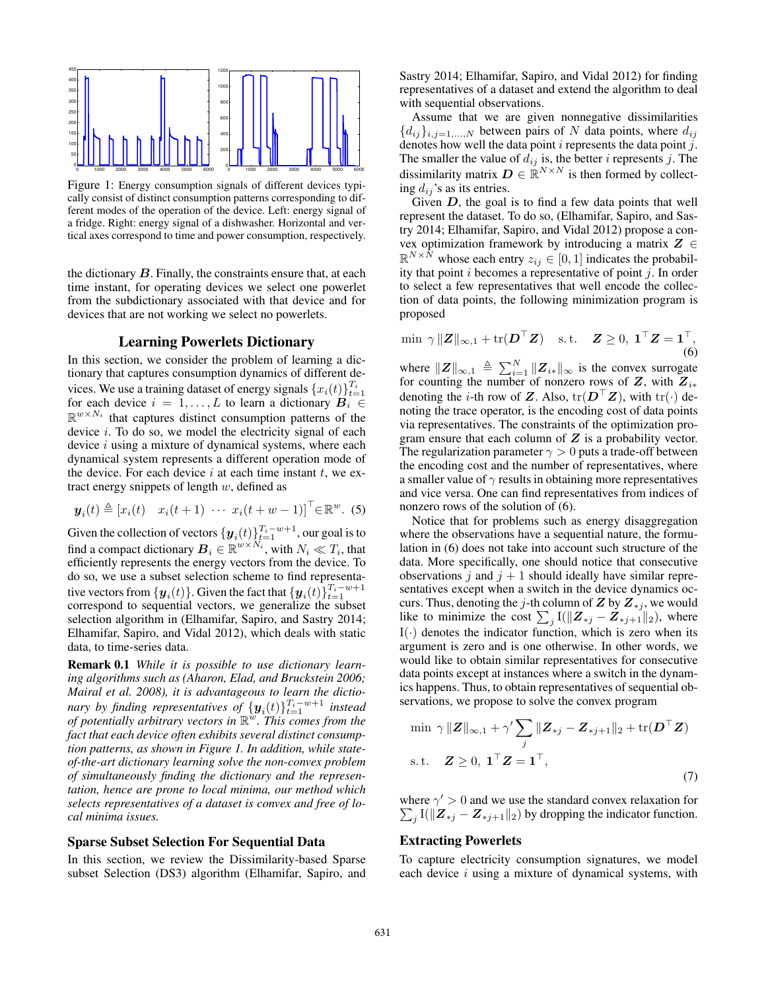

Figure 1: Energy consumption signals of different devices typically consist of distinct consumption patterns corresponding to different modes of the operation of the device. Left: energy signal of a fridge. Right: energy signal of a dishwasher. Horizontal and vertical axes correspond to time and power consumption, respectively.

the dictionary  $B$ . Finally, the constraints ensure that, at each time instant, for operating devices we select one powerlet from the subdictionary associated with that device and for devices that are not working we select no powerlets.

#### Learning Powerlets Dictionary

In this section, we consider the problem of learning a dictionary that captures consumption dynamics of different devices. We use a training dataset of energy signals  ${x_i(t)}_{t=1}^{T_i}$ for each device  $i = 1, ..., L$  to learn a dictionary  $B_i \in$  $\mathbb{R}^{w \times N_i}$  that captures distinct consumption patterns of the device i. To do so, we model the electricity signal of each device  $i$  using a mixture of dynamical systems, where each dynamical system represents a different operation mode of the device. For each device  $i$  at each time instant  $t$ , we extract energy snippets of length  $w$ , defined as

$$
\mathbf{y}_i(t) \triangleq \begin{bmatrix} x_i(t) & x_i(t+1) & \cdots & x_i(t+w-1) \end{bmatrix}^\top \in \mathbb{R}^w. \tag{5}
$$

Given the collection of vectors  $\{\boldsymbol{y}_i(t)\}_{t=1}^{T_i-w+1}$ , our goal is to find a compact dictionary  $\boldsymbol{B}_i \in \mathbb{R}^{w \times N_i}$ , with  $N_i \ll T_i$ , that efficiently represents the energy vectors from the device. To do so, we use a subset selection scheme to find representative vectors from  $\{\boldsymbol{y}_i(t)\}$ . Given the fact that  $\{\boldsymbol{y}_i(t)\}_{t=1}^{T_i-w+1}$ correspond to sequential vectors, we generalize the subset selection algorithm in (Elhamifar, Sapiro, and Sastry 2014; Elhamifar, Sapiro, and Vidal 2012), which deals with static data, to time-series data.

Remark 0.1 *While it is possible to use dictionary learning algorithms such as (Aharon, Elad, and Bruckstein 2006; Mairal et al. 2008), it is advantageous to learn the dictio*nary by finding representatives of  $\{\boldsymbol{y}_i(t)\}_{t=1}^{T_i-w+1}$  instead *of potentially arbitrary vectors in* R w *. This comes from the fact that each device often exhibits several distinct consumption patterns, as shown in Figure 1. In addition, while stateof-the-art dictionary learning solve the non-convex problem of simultaneously finding the dictionary and the representation, hence are prone to local minima, our method which selects representatives of a dataset is convex and free of local minima issues.*

### Sparse Subset Selection For Sequential Data

In this section, we review the Dissimilarity-based Sparse subset Selection (DS3) algorithm (Elhamifar, Sapiro, and

Sastry 2014; Elhamifar, Sapiro, and Vidal 2012) for finding representatives of a dataset and extend the algorithm to deal with sequential observations.

Assume that we are given nonnegative dissimilarities  ${d_{ij}}_{i,j=1,...,N}$  between pairs of N data points, where  $d_{ij}$ denotes how well the data point  $i$  represents the data point  $j$ . The smaller the value of  $d_{ij}$  is, the better i represents j. The dissimilarity matrix  $\mathbf{D} \in \mathbb{R}^{N \times N}$  is then formed by collecting  $d_{ij}$ 's as its entries.

Given  $D$ , the goal is to find a few data points that well represent the dataset. To do so, (Elhamifar, Sapiro, and Sastry 2014; Elhamifar, Sapiro, and Vidal 2012) propose a convex optimization framework by introducing a matrix  $Z \in$  $\mathbb{R}^{N \times N}$  whose each entry  $z_{ij} \in [0, 1]$  indicates the probability that point  $i$  becomes a representative of point  $j$ . In order to select a few representatives that well encode the collection of data points, the following minimization program is proposed

$$
\min \ \gamma \|\mathbf{Z}\|_{\infty,1} + \text{tr}(\mathbf{D}^{\top}\mathbf{Z}) \quad \text{s.t.} \quad \mathbf{Z} \ge 0, \ \mathbf{1}^{\top}\mathbf{Z} = \mathbf{1}^{\top}, \tag{6}
$$

where  $||Z||_{\infty,1} \triangleq \sum_{i=1}^{N} ||Z_{i*}||_{\infty}$  is the convex surrogate for counting the number of nonzero rows of  $Z$ , with  $Z_{i*}$ denoting the *i*-th row of Z. Also,  $tr(\mathbf{D}^{\top} \mathbf{Z})$ , with  $tr(\cdot)$  denoting the trace operator, is the encoding cost of data points via representatives. The constraints of the optimization program ensure that each column of  $Z$  is a probability vector. The regularization parameter  $\gamma > 0$  puts a trade-off between the encoding cost and the number of representatives, where a smaller value of  $\gamma$  results in obtaining more representatives and vice versa. One can find representatives from indices of nonzero rows of the solution of (6).

Notice that for problems such as energy disaggregation where the observations have a sequential nature, the formulation in (6) does not take into account such structure of the data. More specifically, one should notice that consecutive observations j and  $j + 1$  should ideally have similar representatives except when a switch in the device dynamics occurs. Thus, denoting the j-th column of  $Z$  by  $Z_{*j}$ , we would like to minimize the cost  $\sum_{j} I(\|\boldsymbol{Z}_{*j} - \boldsymbol{Z}_{*j+1}\|_2)$ , where  $I(\cdot)$  denotes the indicator function, which is zero when its argument is zero and is one otherwise. In other words, we would like to obtain similar representatives for consecutive data points except at instances where a switch in the dynamics happens. Thus, to obtain representatives of sequential observations, we propose to solve the convex program

$$
\min \gamma ||Z||_{\infty,1} + \gamma' \sum_{j} ||Z_{*j} - Z_{*j+1}||_2 + \text{tr}(\mathbf{D}^\top Z)
$$
  
s.t.  $Z \ge 0$ ,  $\mathbf{1}^\top Z = \mathbf{1}^\top$ , (7)

where  $\gamma' > 0$  and we use the standard convex relaxation for  $\sum_j I(||\mathbf{Z}_{*j} - \mathbf{Z}_{*j+1}||_2)$  by dropping the indicator function.

#### Extracting Powerlets

To capture electricity consumption signatures, we model each device  $i$  using a mixture of dynamical systems, with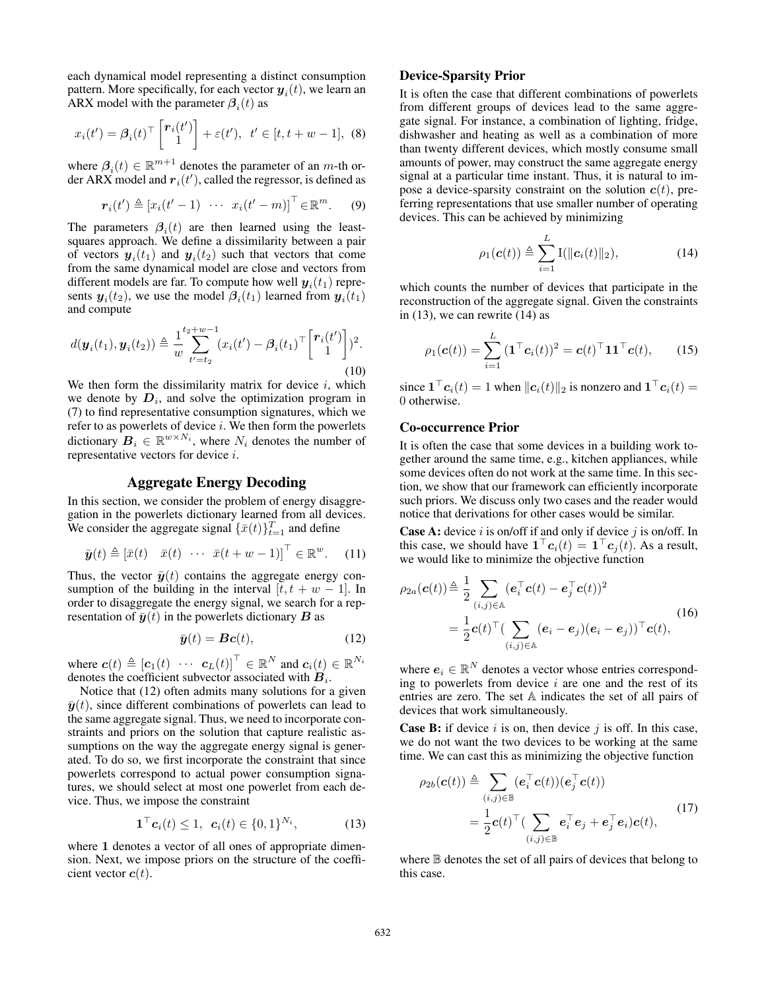each dynamical model representing a distinct consumption pattern. More specifically, for each vector  $\boldsymbol{y}_i(t)$ , we learn an ARX model with the parameter  $\beta_i(t)$  as

$$
x_i(t') = \beta_i(t)^\top \begin{bmatrix} \bm{r}_i(t') \\ 1 \end{bmatrix} + \varepsilon(t'), \ \ t' \in [t, t+w-1], \ \ (8)
$$

where  $\beta_i(t) \in \mathbb{R}^{m+1}$  denotes the parameter of an m-th order ARX model and  $r_i(t')$ , called the regressor, is defined as

$$
\boldsymbol{r}_i(t') \triangleq \begin{bmatrix} x_i(t'-1) & \cdots & x_i(t'-m) \end{bmatrix}^\top \in \mathbb{R}^m. \qquad (9)
$$

The parameters  $\beta_i(t)$  are then learned using the leastsquares approach. We define a dissimilarity between a pair of vectors  $y_i(t_1)$  and  $y_i(t_2)$  such that vectors that come from the same dynamical model are close and vectors from different models are far. To compute how well  $\boldsymbol{y}_i(t_1)$  represents  $y_i(t_2)$ , we use the model  $\beta_i(t_1)$  learned from  $y_i(t_1)$ and compute

$$
d(\boldsymbol{y}_i(t_1), \boldsymbol{y}_i(t_2)) \triangleq \frac{1}{w} \sum_{t'=t_2}^{t_2+w-1} (x_i(t') - \beta_i(t_1)^\top \begin{bmatrix} \boldsymbol{r}_i(t') \\ 1 \end{bmatrix})^2.
$$
\n(10)

We then form the dissimilarity matrix for device  $i$ , which we denote by  $D_i$ , and solve the optimization program in (7) to find representative consumption signatures, which we refer to as powerlets of device  $i$ . We then form the powerlets dictionary  $B_i \in \mathbb{R}^{w \times N_i}$ , where  $N_i$  denotes the number of representative vectors for device i.

# Aggregate Energy Decoding

In this section, we consider the problem of energy disaggregation in the powerlets dictionary learned from all devices. We consider the aggregate signal  $\{\bar{x}(t)\}_{t=1}^T$  and define

$$
\bar{\boldsymbol{y}}(t) \triangleq [\bar{x}(t) \quad \bar{x}(t) \quad \cdots \quad \bar{x}(t+w-1)]^{\top} \in \mathbb{R}^w. \tag{11}
$$

Thus, the vector  $\bar{y}(t)$  contains the aggregate energy consumption of the building in the interval  $[t, t + w - 1]$ . In order to disaggregate the energy signal, we search for a representation of  $\bar{y}(t)$  in the powerlets dictionary B as

$$
\bar{\boldsymbol{y}}(t) = \boldsymbol{B}\boldsymbol{c}(t),\tag{12}
$$

where  $\mathbf{c}(t) \triangleq [\mathbf{c}_1(t) \cdots \mathbf{c}_L(t)]^\top \in \mathbb{R}^N$  and  $\mathbf{c}_i(t) \in \mathbb{R}^{N_i}$ denotes the coefficient subvector associated with  $B_i$ .

Notice that (12) often admits many solutions for a given  $\bar{y}(t)$ , since different combinations of powerlets can lead to the same aggregate signal. Thus, we need to incorporate constraints and priors on the solution that capture realistic assumptions on the way the aggregate energy signal is generated. To do so, we first incorporate the constraint that since powerlets correspond to actual power consumption signatures, we should select at most one powerlet from each device. Thus, we impose the constraint

$$
\mathbf{1}^{\top} \mathbf{c}_i(t) \leq 1, \ \mathbf{c}_i(t) \in \{0, 1\}^{N_i}, \tag{13}
$$

where 1 denotes a vector of all ones of appropriate dimension. Next, we impose priors on the structure of the coefficient vector  $c(t)$ .

# Device-Sparsity Prior

It is often the case that different combinations of powerlets from different groups of devices lead to the same aggregate signal. For instance, a combination of lighting, fridge, dishwasher and heating as well as a combination of more than twenty different devices, which mostly consume small amounts of power, may construct the same aggregate energy signal at a particular time instant. Thus, it is natural to impose a device-sparsity constraint on the solution  $c(t)$ , preferring representations that use smaller number of operating devices. This can be achieved by minimizing

$$
\rho_1(\boldsymbol{c}(t)) \triangleq \sum_{i=1}^L \mathrm{I}(\|\boldsymbol{c}_i(t)\|_2), \qquad (14)
$$

which counts the number of devices that participate in the reconstruction of the aggregate signal. Given the constraints in  $(13)$ , we can rewrite  $(14)$  as

$$
\rho_1(\mathbf{c}(t)) = \sum_{i=1}^L (\mathbf{1}^\top \mathbf{c}_i(t))^2 = \mathbf{c}(t)^\top \mathbf{1} \mathbf{1}^\top \mathbf{c}(t), \qquad (15)
$$

since  $\mathbf{1}^\top \mathbf{c}_i(t) = 1$  when  $\|\mathbf{c}_i(t)\|_2$  is nonzero and  $\mathbf{1}^\top \mathbf{c}_i(t) =$ 0 otherwise.

### Co-occurrence Prior

It is often the case that some devices in a building work together around the same time, e.g., kitchen appliances, while some devices often do not work at the same time. In this section, we show that our framework can efficiently incorporate such priors. We discuss only two cases and the reader would notice that derivations for other cases would be similar.

**Case A:** device  $i$  is on/off if and only if device  $j$  is on/off. In this case, we should have  $\mathbf{1}^\top \mathbf{c}_i(t) = \mathbf{1}^\top \mathbf{c}_j(t)$ . As a result, we would like to minimize the objective function

$$
\rho_{2a}(\boldsymbol{c}(t)) \triangleq \frac{1}{2} \sum_{(i,j) \in \mathbb{A}} (\boldsymbol{e}_i^{\top} \boldsymbol{c}(t) - \boldsymbol{e}_j^{\top} \boldsymbol{c}(t))^2
$$
\n
$$
= \frac{1}{2} \boldsymbol{c}(t)^{\top} (\sum_{(i,j) \in \mathbb{A}} (\boldsymbol{e}_i - \boldsymbol{e}_j) (\boldsymbol{e}_i - \boldsymbol{e}_j))^{\top} \boldsymbol{c}(t),
$$
\n(16)

where  $e_i \in \mathbb{R}^N$  denotes a vector whose entries corresponding to powerlets from device  $i$  are one and the rest of its entries are zero. The set A indicates the set of all pairs of devices that work simultaneously.

**Case B:** if device  $i$  is on, then device  $j$  is off. In this case, we do not want the two devices to be working at the same time. We can cast this as minimizing the objective function

$$
\rho_{2b}(\boldsymbol{c}(t)) \triangleq \sum_{(i,j)\in\mathbb{B}} (\boldsymbol{e}_i^\top \boldsymbol{c}(t)) (\boldsymbol{e}_j^\top \boldsymbol{c}(t)) \n= \frac{1}{2} \boldsymbol{c}(t)^\top (\sum_{(i,j)\in\mathbb{B}} \boldsymbol{e}_i^\top \boldsymbol{e}_j + \boldsymbol{e}_j^\top \boldsymbol{e}_i) \boldsymbol{c}(t),
$$
\n(17)

where B denotes the set of all pairs of devices that belong to this case.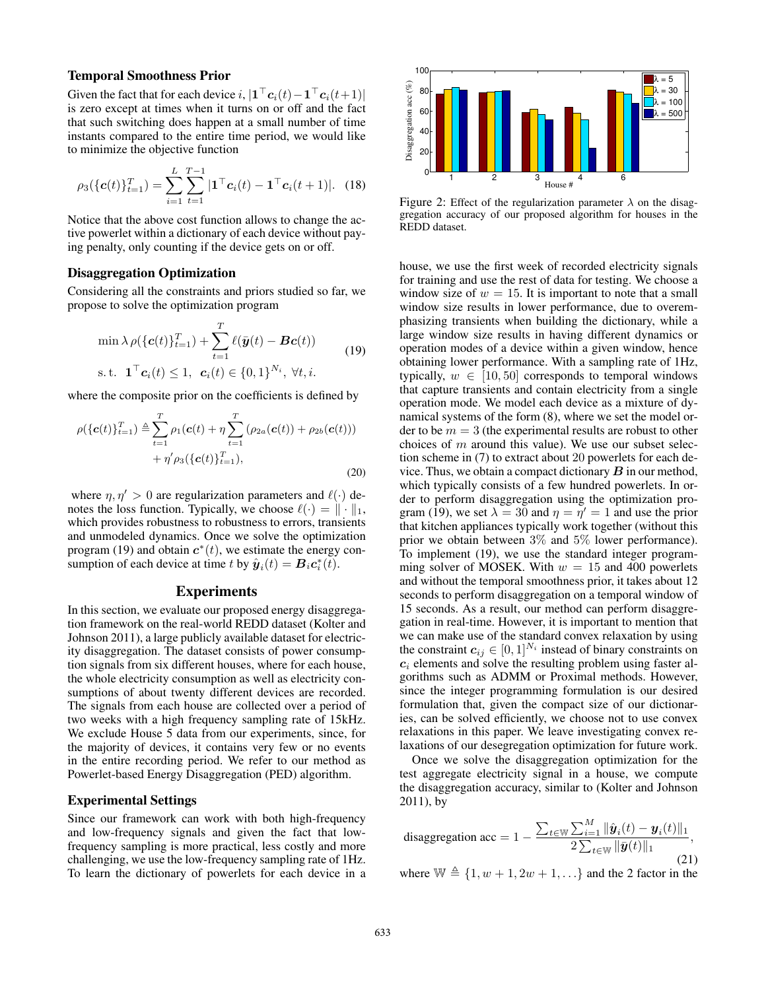### Temporal Smoothness Prior

Given the fact that for each device  $i, |\mathbf{1}^\top \mathbf{c}_i(t) - \mathbf{1}^\top \mathbf{c}_i(t+1)|$ is zero except at times when it turns on or off and the fact that such switching does happen at a small number of time instants compared to the entire time period, we would like to minimize the objective function

$$
\rho_3(\{\mathbf{c}(t)\}_{t=1}^T) = \sum_{i=1}^L \sum_{t=1}^{T-1} |\mathbf{1}^\top \mathbf{c}_i(t) - \mathbf{1}^\top \mathbf{c}_i(t+1)|. \tag{18}
$$

Notice that the above cost function allows to change the active powerlet within a dictionary of each device without paying penalty, only counting if the device gets on or off.

#### Disaggregation Optimization

Considering all the constraints and priors studied so far, we propose to solve the optimization program

$$
\min \lambda \rho(\{\mathbf{c}(t)\}_{t=1}^T) + \sum_{t=1}^T \ell(\bar{\mathbf{y}}(t) - \mathbf{B}\mathbf{c}(t))
$$
\n
$$
\text{s.t. } \mathbf{1}^\top \mathbf{c}_i(t) \le 1, \ \mathbf{c}_i(t) \in \{0, 1\}^{N_i}, \ \forall t, i.
$$
\n
$$
(19)
$$

where the composite prior on the coefficients is defined by

$$
\rho(\{\mathbf{c}(t)\}_{t=1}^T) \triangleq \sum_{t=1}^T \rho_1(\mathbf{c}(t) + \eta \sum_{t=1}^T (\rho_{2a}(\mathbf{c}(t)) + \rho_{2b}(\mathbf{c}(t))) + \eta' \rho_3(\{\mathbf{c}(t)\}_{t=1}^T),
$$
\n(20)

where  $\eta, \eta' > 0$  are regularization parameters and  $\ell(\cdot)$  denotes the loss function. Typically, we choose  $\ell(\cdot) = \| \cdot \|_1$ , which provides robustness to robustness to errors, transients and unmodeled dynamics. Once we solve the optimization program (19) and obtain  $c^*(t)$ , we estimate the energy consumption of each device at time t by  $\hat{\boldsymbol{y}}_i(t) = \boldsymbol{B}_i \boldsymbol{c}_i^*(t)$ .

# Experiments

In this section, we evaluate our proposed energy disaggregation framework on the real-world REDD dataset (Kolter and Johnson 2011), a large publicly available dataset for electricity disaggregation. The dataset consists of power consumption signals from six different houses, where for each house, the whole electricity consumption as well as electricity consumptions of about twenty different devices are recorded. The signals from each house are collected over a period of two weeks with a high frequency sampling rate of 15kHz. We exclude House 5 data from our experiments, since, for the majority of devices, it contains very few or no events in the entire recording period. We refer to our method as Powerlet-based Energy Disaggregation (PED) algorithm.

### Experimental Settings

Since our framework can work with both high-frequency and low-frequency signals and given the fact that lowfrequency sampling is more practical, less costly and more challenging, we use the low-frequency sampling rate of 1Hz. To learn the dictionary of powerlets for each device in a



Figure 2: Effect of the regularization parameter  $\lambda$  on the disaggregation accuracy of our proposed algorithm for houses in the REDD dataset.

house, we use the first week of recorded electricity signals for training and use the rest of data for testing. We choose a window size of  $w = 15$ . It is important to note that a small window size results in lower performance, due to overemphasizing transients when building the dictionary, while a large window size results in having different dynamics or operation modes of a device within a given window, hence obtaining lower performance. With a sampling rate of 1Hz, typically,  $w \in [10, 50]$  corresponds to temporal windows that capture transients and contain electricity from a single operation mode. We model each device as a mixture of dynamical systems of the form (8), where we set the model order to be  $m = 3$  (the experimental results are robust to other choices of  $m$  around this value). We use our subset selection scheme in (7) to extract about 20 powerlets for each device. Thus, we obtain a compact dictionary  $\bm{B}$  in our method, which typically consists of a few hundred powerlets. In order to perform disaggregation using the optimization program (19), we set  $\lambda = 30$  and  $\eta = \eta' = 1$  and use the prior that kitchen appliances typically work together (without this prior we obtain between 3% and 5% lower performance). To implement (19), we use the standard integer programming solver of MOSEK. With  $w = 15$  and 400 powerlets and without the temporal smoothness prior, it takes about 12 seconds to perform disaggregation on a temporal window of 15 seconds. As a result, our method can perform disaggregation in real-time. However, it is important to mention that we can make use of the standard convex relaxation by using the constraint  $c_{ij} \in [0,1]^{N_i}$  instead of binary constraints on  $c_i$  elements and solve the resulting problem using faster algorithms such as ADMM or Proximal methods. However, since the integer programming formulation is our desired formulation that, given the compact size of our dictionaries, can be solved efficiently, we choose not to use convex relaxations in this paper. We leave investigating convex relaxations of our desegregation optimization for future work.

Once we solve the disaggregation optimization for the test aggregate electricity signal in a house, we compute the disaggregation accuracy, similar to (Kolter and Johnson 2011), by

disaggregation acc = 
$$
1 - \frac{\sum_{t \in \mathbb{W}} \sum_{i=1}^{M} ||\hat{\bm{y}}_i(t) - \bm{y}_i(t)||_1}{2 \sum_{t \in \mathbb{W}} ||\bar{\bm{y}}(t)||_1},
$$
(21)

where  $\mathbb{W} \triangleq \{1, w + 1, 2w + 1, ...\}$  and the 2 factor in the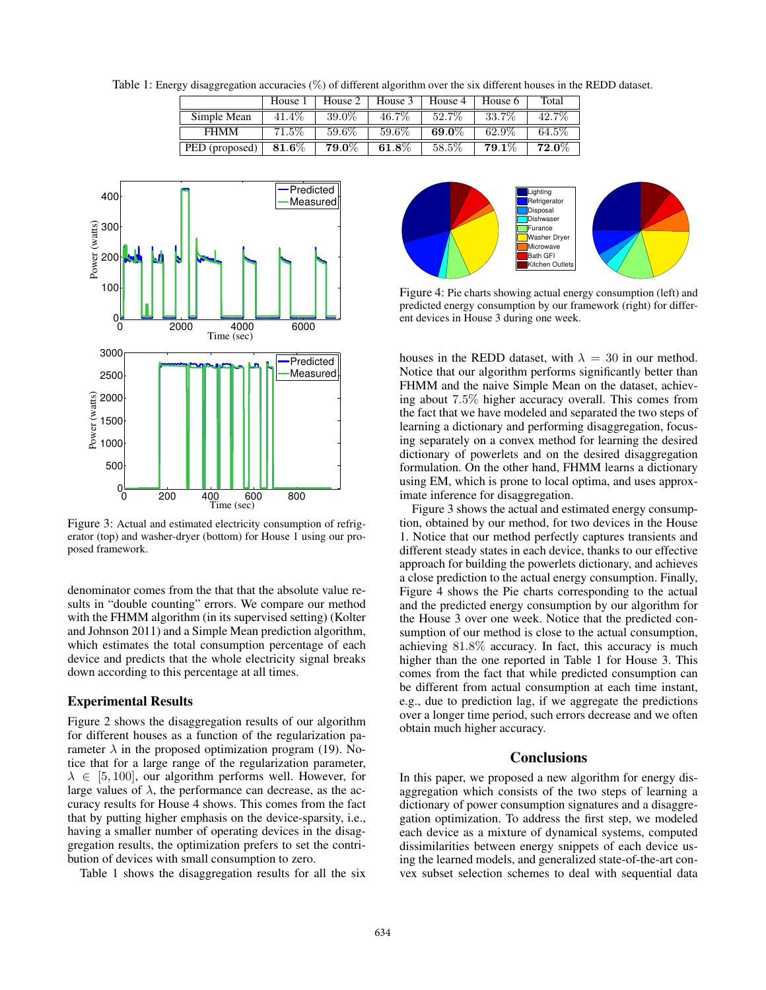Table 1: Energy disaggregation accuracies (%) of different algorithm over the six different houses in the REDD dataset.

|                | House 1           | House 2               | House 3               | House 4  | House 6           | Total    |
|----------------|-------------------|-----------------------|-----------------------|----------|-------------------|----------|
| Simple Mean    | 41.4\%            | 39.0%                 | 46.7%                 | 52.7\%   | 33.7%             | 42.7%    |
| <b>FHMM</b>    | $71.5\%$          | 59.6%                 | 59.6%                 | $69.0\%$ | 62.9%             | 64.5%    |
| PED (proposed) | $\textbf{81.6}\%$ | $\boldsymbol{79.0\%}$ | $\boldsymbol{61.8\%}$ | 58.5%    | $\mathbf{79.1}\%$ | $72.0\%$ |



Figure 3: Actual and estimated electricity consumption of refrigerator (top) and washer-dryer (bottom) for House 1 using our proposed framework.

denominator comes from the that that the absolute value results in "double counting" errors. We compare our method with the FHMM algorithm (in its supervised setting) (Kolter and Johnson 2011) and a Simple Mean prediction algorithm, which estimates the total consumption percentage of each device and predicts that the whole electricity signal breaks down according to this percentage at all times.

### Experimental Results

Figure 2 shows the disaggregation results of our algorithm for different houses as a function of the regularization parameter  $\lambda$  in the proposed optimization program (19). Notice that for a large range of the regularization parameter,  $\lambda \in [5, 100]$ , our algorithm performs well. However, for large values of  $\lambda$ , the performance can decrease, as the accuracy results for House 4 shows. This comes from the fact that by putting higher emphasis on the device-sparsity, i.e., having a smaller number of operating devices in the disaggregation results, the optimization prefers to set the contribution of devices with small consumption to zero.

Table 1 shows the disaggregation results for all the six



Figure 4: Pie charts showing actual energy consumption (left) and predicted energy consumption by our framework (right) for different devices in House 3 during one week.

houses in the REDD dataset, with  $\lambda = 30$  in our method. Notice that our algorithm performs significantly better than FHMM and the naive Simple Mean on the dataset, achieving about 7.5% higher accuracy overall. This comes from the fact that we have modeled and separated the two steps of learning a dictionary and performing disaggregation, focusing separately on a convex method for learning the desired dictionary of powerlets and on the desired disaggregation formulation. On the other hand, FHMM learns a dictionary using EM, which is prone to local optima, and uses approximate inference for disaggregation.

Figure 3 shows the actual and estimated energy consumption, obtained by our method, for two devices in the House 1. Notice that our method perfectly captures transients and different steady states in each device, thanks to our effective approach for building the powerlets dictionary, and achieves a close prediction to the actual energy consumption. Finally, Figure 4 shows the Pie charts corresponding to the actual and the predicted energy consumption by our algorithm for the House 3 over one week. Notice that the predicted consumption of our method is close to the actual consumption, achieving 81.8% accuracy. In fact, this accuracy is much higher than the one reported in Table 1 for House 3. This comes from the fact that while predicted consumption can be different from actual consumption at each time instant, e.g., due to prediction lag, if we aggregate the predictions over a longer time period, such errors decrease and we often obtain much higher accuracy.

#### **Conclusions**

In this paper, we proposed a new algorithm for energy disaggregation which consists of the two steps of learning a dictionary of power consumption signatures and a disaggregation optimization. To address the first step, we modeled each device as a mixture of dynamical systems, computed dissimilarities between energy snippets of each device using the learned models, and generalized state-of-the-art convex subset selection schemes to deal with sequential data